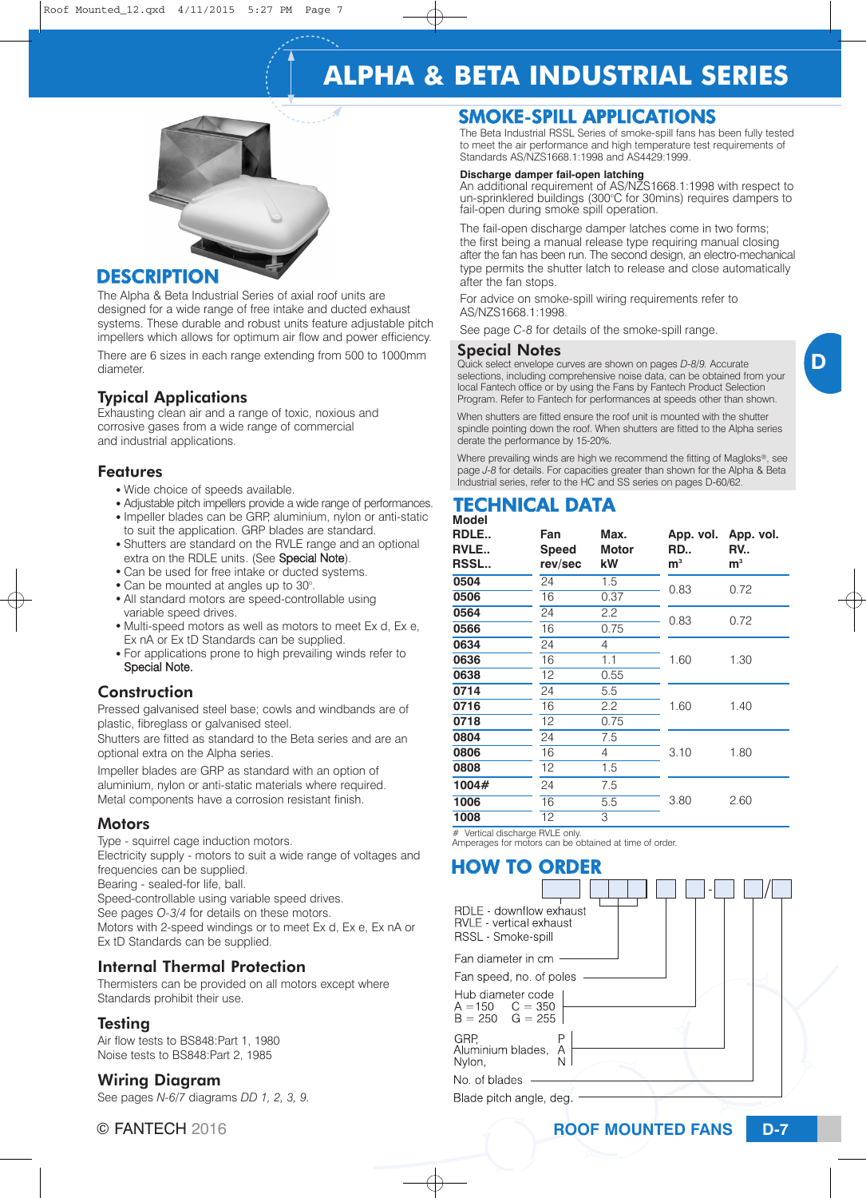# **ALPHA & BETA INDUSTRIAL SERIES**



### **DESCRIPTION**

The Alpha & Beta Industrial Series of axial roof units are designed for a wide range of free intake and ducted exhaust systems. These durable and robust units feature adjustable pitch impellers which allows for optimum air flow and power efficiency.

There are 6 sizes in each range extending from 500 to 1000mm diameter.

### Typical Applications

Exhausting clean air and a range of toxic, noxious and corrosive gases from a wide range of commercial and industrial applications.

#### Features

- Wide choice of speeds available.
- Adjustable pitch impellers provide a wide range of performances.
- Impeller blades can be GRP, aluminium, nylon or anti-static to suit the application. GRP blades are standard.
- Shutters are standard on the RVLE range and an optional extra on the RDLE units. (See Special Note).
- Can be used for free intake or ducted systems.
- Can be mounted at angles up to 30°.
- All standard motors are speed-controllable using variable speed drives.
- Multi-speed motors as well as motors to meet Ex d, Ex e, Ex nA or Ex tD Standards can be supplied.
- For applications prone to high prevailing winds refer to Special Note.

#### **Construction**

Pressed galvanised steel base; cowls and windbands are of plastic, fibreglass or galvanised steel.

Shutters are fitted as standard to the Beta series and are an optional extra on the Alpha series.

Impeller blades are GRP as standard with an option of aluminium, nylon or anti-static materials where required. Metal components have a corrosion resistant finish.

#### Motors

Type - squirrel cage induction motors.

Electricity supply - motors to suit a wide range of voltages and frequencies can be supplied.

Bearing - sealed-for life, ball.

Speed-controllable using variable speed drives.

See pages *O-3/4* for details on these motors.

Motors with 2-speed windings or to meet Ex d, Ex e, Ex nA or Ex tD Standards can be supplied.

### Internal Thermal Protection

Thermisters can be provided on all motors except where Standards prohibit their use.

#### Testing

Air flow tests to BS848:Part 1, 1980 Noise tests to BS848:Part 2, 1985

#### Wiring Diagram

See pages *N-6/7* diagrams *DD 1, 2, 3, 9.*

# SMOKE-SPILL APPLICATIONS

The Beta Industrial RSSL Series of smoke-spill fans has been fully tested to meet the air performance and high temperature test requirements of Standards AS/NZS1668.1:1998 and AS4429:1999.

#### **Discharge damper fail-open latching**

An additional requirement of AS/NZS1668.1:1998 with respect to un-sprinklered buildings (300°C for 30mins) requires dampers to fail-open during smoke spill operation.

The fail-open discharge damper latches come in two forms; the first being a manual release type requiring manual closing after the fan has been run. The second design, an electro-mechanical type permits the shutter latch to release and close automatically after the fan stops.

For advice on smoke-spill wiring requirements refer to AS/NZS1668.1:1998.

See page *C-8* for details of the smoke-spill range.

#### Special Notes

Quick select envelope curves are shown on pages *D-8/9.* Accurate selections, including comprehensive noise data, can be obtained from your local Fantech office or by using the Fans by Fantech Product Selection Program. Refer to Fantech for performances at speeds other than shown.

When shutters are fitted ensure the roof unit is mounted with the shutter spindle pointing down the roof. When shutters are fitted to the Alpha series derate the performance by 15-20%.

Where prevailing winds are high we recommend the fitting of Magloks®, see page *J-8* for details. For capacities greater than shown for the Alpha & Beta Industrial series, refer to the HC and SS series on pages D-60/62.

#### **Model** TECHNICAL DATA

| RDLE<br>RVLE<br><b>RSSL</b> | Fan<br><b>Speed</b><br>rev/sec | Max.<br><b>Motor</b><br>kW | App. vol.<br>RD<br>m <sup>3</sup> | App. vol.<br><b>RV</b><br>m <sup>3</sup> |  |
|-----------------------------|--------------------------------|----------------------------|-----------------------------------|------------------------------------------|--|
| 0504                        | 24                             | 1.5                        | 0.83                              | 0.72                                     |  |
| 0506                        | 16                             | 0.37                       |                                   |                                          |  |
| 0564                        | 24                             | $2.2\phantom{0}$           | 0.83                              | 0.72                                     |  |
| 0566                        | 16                             | 0.75                       |                                   |                                          |  |
| 0634                        | 24                             | 4                          |                                   |                                          |  |
| 0636                        | 16                             | 1.1                        | 1.60                              | 1.30                                     |  |
| 0638                        | 12                             | 0.55                       |                                   |                                          |  |
| 0714                        | 24                             | 5.5                        |                                   |                                          |  |
| 0716                        | 16                             | 2.2                        | 1.60                              | 1.40                                     |  |
| 0718                        | 12                             | 0.75                       |                                   |                                          |  |
| 0804                        | 24                             | 7.5                        |                                   |                                          |  |
| 0806                        | 16                             | 4                          | 3.10                              | 1.80                                     |  |
| 0808                        | 12                             | 1.5                        |                                   |                                          |  |
| 1004#                       | 24                             | 7.5                        |                                   |                                          |  |
| 1006                        | 16                             | 5.5                        | 3.80                              | 2.60                                     |  |
| 1008                        | 12                             | 3                          |                                   |                                          |  |

# Vertical discharge RVLE only. Amperages for motors can be obtained at time of order.

# HOW TO ORDER

| RDLE - downflow exhaust<br><b>RVLE</b> - vertical exhaust<br>RSSL - Smoke-spill |  |
|---------------------------------------------------------------------------------|--|
| Fan diameter in cm                                                              |  |
| Fan speed, no. of poles                                                         |  |
| Hub diameter code<br>$A = 150$ $C = 350$<br>$B = 250$ $G = 255$                 |  |
| GRP.<br>Aluminium blades,<br>Α<br>Nylon.                                        |  |
| No. of blades                                                                   |  |
| Blade pitch angle, deg.                                                         |  |
|                                                                                 |  |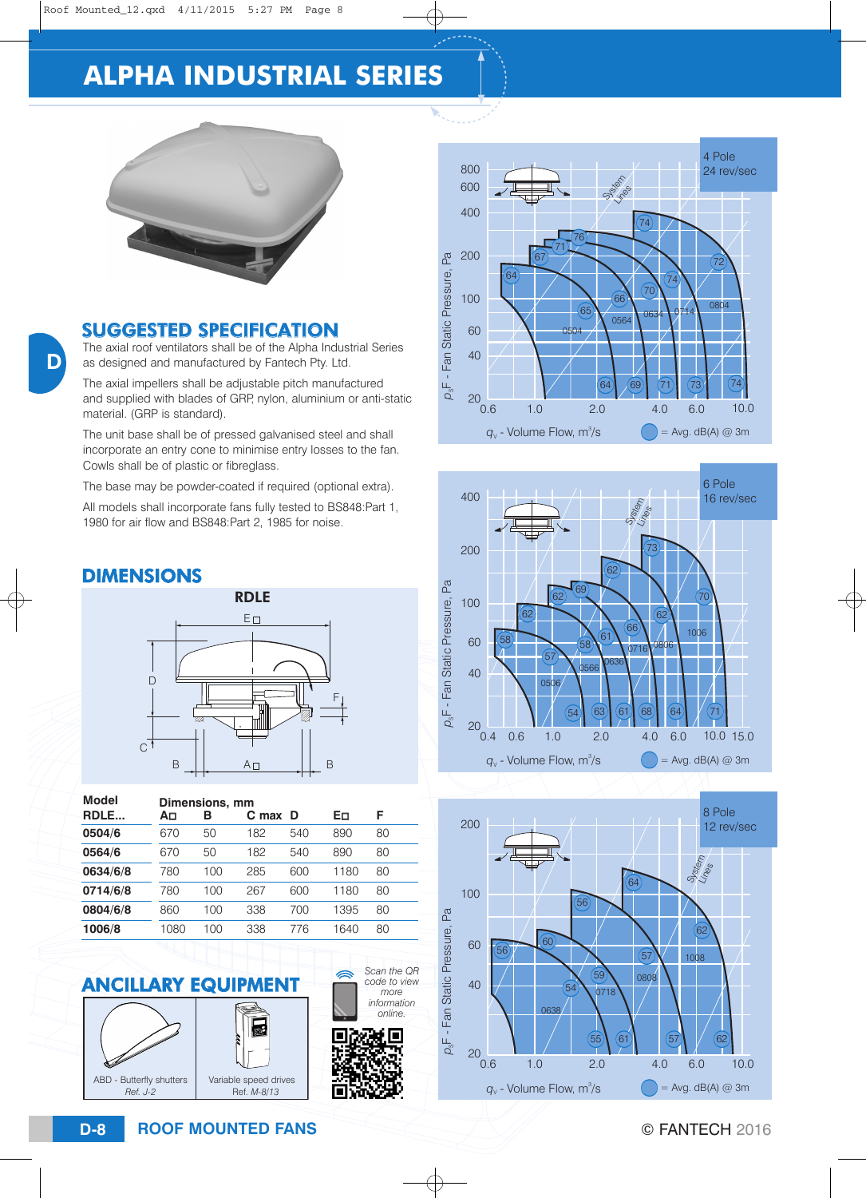# **ALPHA INDUSTRIAL SERIES**



## SUGGESTED SPECIFICATION

The axial roof ventilators shall be of the Alpha Industrial Series as designed and manufactured by Fantech Pty. Ltd.

The axial impellers shall be adjustable pitch manufactured and supplied with blades of GRP, nylon, aluminium or anti-static material. (GRP is standard).

The unit base shall be of pressed galvanised steel and shall incorporate an entry cone to minimise entry losses to the fan. Cowls shall be of plastic or fibreglass.

The base may be powder-coated if required (optional extra).

All models shall incorporate fans fully tested to BS848:Part 1, 1980 for air flow and BS848:Part 2, 1985 for noise.

# DIMENSIONS



| Model    | Dimensions, mm |     |         |     |      |    |
|----------|----------------|-----|---------|-----|------|----|
| RDLE     | A⊡             | в   | C max D |     | Eп   | F  |
| 0504/6   | 670            | 50  | 182     | 540 | 890  | 80 |
| 0564/6   | 670            | 50  | 182     | 540 | 890  | 80 |
| 0634/6/8 | 780            | 100 | 285     | 600 | 1180 | 80 |
| 0714/6/8 | 780            | 100 | 267     | 600 | 1180 | 80 |
| 0804/6/8 | 860            | 100 | 338     | 700 | 1395 | 80 |
| 1006/8   | 1080           | 100 | 338     | 776 | 1640 | 80 |







E

*Scan the QR code to view more* 







**ROOF MOUNTED FANS D-8** © FANTECH 2016